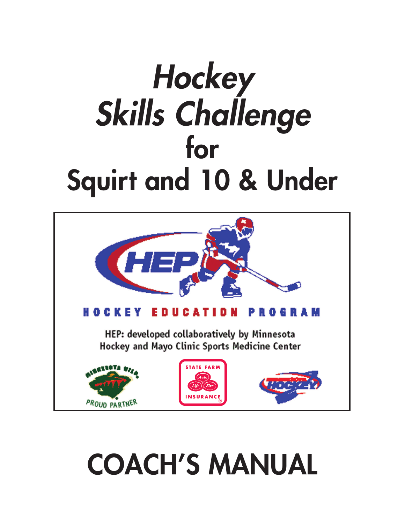# *Hockey Skills Challenge* **for Squirt and 10 & Under**



# **COACH'S MANUAL**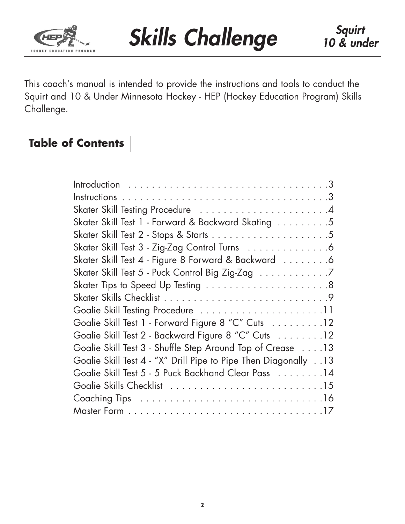

This coach's manual is intended to provide the instructions and tools to conduct the Squirt and 10 & Under Minnesota Hockey - HEP (Hockey Education Program) Skills Challenge.

# **Table of Contents**

| Skater Skill Test 1 - Forward & Backward Skating 5              |
|-----------------------------------------------------------------|
|                                                                 |
| Skater Skill Test 3 - Zig-Zag Control Turns 6                   |
| Skater Skill Test 4 - Figure 8 Forward & Backward 6             |
| Skater Skill Test 5 - Puck Control Big Zig-Zag 7                |
|                                                                 |
|                                                                 |
| Goalie Skill Testing Procedure 11                               |
| Goalie Skill Test 1 - Forward Figure 8 "C" Cuts 12              |
| Goalie Skill Test 2 - Backward Figure 8 "C" Cuts 12             |
| Goalie Skill Test 3 - Shuffle Step Around Top of Crease 13      |
| Goalie Skill Test 4 - "X" Drill Pipe to Pipe Then Diagonally 13 |
| Goalie Skill Test 5 - 5 Puck Backhand Clear Pass 14             |
|                                                                 |
|                                                                 |
|                                                                 |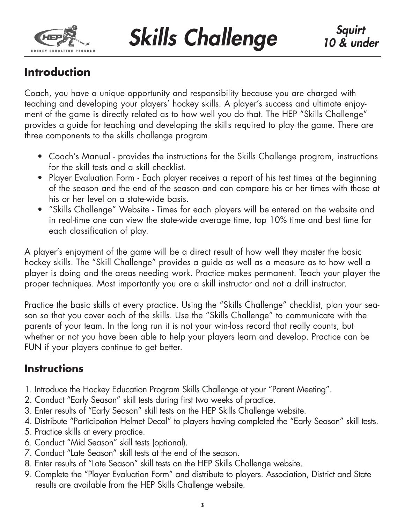

# **Introduction**

Coach, you have a unique opportunity and responsibility because you are charged with teaching and developing your players' hockey skills. A player's success and ultimate enjoyment of the game is directly related as to how well you do that. The HEP "Skills Challenge" provides a guide for teaching and developing the skills required to play the game. There are three components to the skills challenge program.

- Coach's Manual provides the instructions for the Skills Challenge program, instructions for the skill tests and a skill checklist.
- Player Evaluation Form Each player receives a report of his test times at the beginning of the season and the end of the season and can compare his or her times with those at his or her level on a state-wide basis.
- "Skills Challenge" Website Times for each players will be entered on the website and in real-time one can view the state-wide average time, top 10% time and best time for each classification of play.

A player's enjoyment of the game will be a direct result of how well they master the basic hockey skills. The "Skill Challenge" provides a guide as well as a measure as to how well a player is doing and the areas needing work. Practice makes permanent. Teach your player the proper techniques. Most importantly you are a skill instructor and not a drill instructor.

Practice the basic skills at every practice. Using the "Skills Challenge" checklist, plan your season so that you cover each of the skills. Use the "Skills Challenge" to communicate with the parents of your team. In the long run it is not your win-loss record that really counts, but whether or not you have been able to help your players learn and develop. Practice can be FUN if your players continue to get better.

# **Instructions**

- 1. Introduce the Hockey Education Program Skills Challenge at your "Parent Meeting".
- 2. Conduct "Early Season" skill tests during first two weeks of practice.
- 3. Enter results of "Early Season" skill tests on the HEP Skills Challenge website.
- 4. Distribute "Participation Helmet Decal" to players having completed the "Early Season" skill tests.
- 5. Practice skills at every practice.
- 6. Conduct "Mid Season" skill tests (optional).
- 7. Conduct "Late Season" skill tests at the end of the season.
- 8. Enter results of "Late Season" skill tests on the HEP Skills Challenge website.
- 9. Complete the "Player Evaluation Form" and distribute to players. Association, District and State results are available from the HEP Skills Challenge website.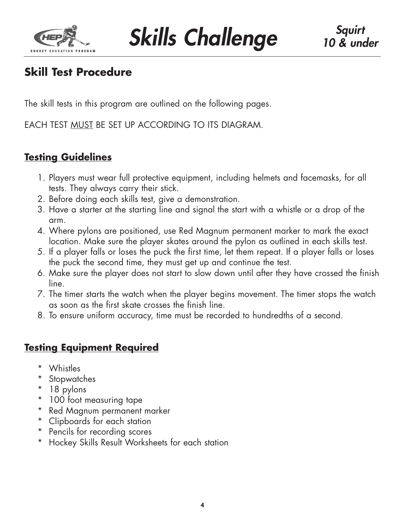

# **Skill Test Procedure**

The skill tests in this program are outlined on the following pages.

EACH TEST MUST BE SET UP ACCORDING TO ITS DIAGRAM.

## **Testing Guidelines**

- 1. Players must wear full protective equipment, including helmets and facemasks, for all tests. They always carry their stick.
- 2. Before doing each skills test, give a demonstration.
- 3. Have a starter at the starting line and signal the start with a whistle or a drop of the arm.
- 4. Where pylons are positioned, use Red Magnum permanent marker to mark the exact location. Make sure the player skates around the pylon as outlined in each skills test.
- 5. If a player falls or loses the puck the first time, let them repeat. If a player falls or loses the puck the second time, they must get up and continue the test.
- 6. Make sure the player does not start to slow down until after they have crossed the finish line.
- 7. The timer starts the watch when the player begins movement. The timer stops the watch as soon as the first skate crosses the finish line.
- 8. To ensure uniform accuracy, time must be recorded to hundredths of a second.

## **Testing Equipment Required**

- \* Whistles
- \* Stopwatches
- \* 18 pylons
- \* 100 foot measuring tape
- \* Red Magnum permanent marker
- \* Clipboards for each station
- \* Pencils for recording scores
- \* Hockey Skills Result Worksheets for each station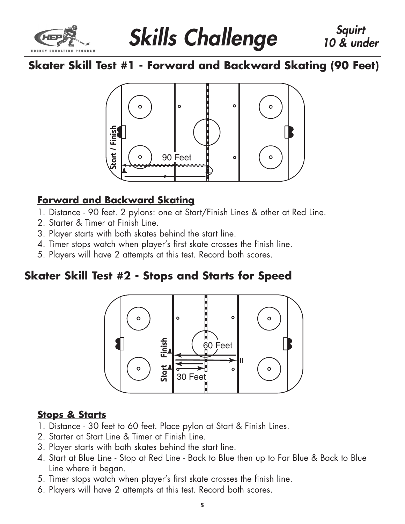

# **Skills Challenge Skills Squirt**

# **Skater Skill Test #1 - Forward and Backward Skating (90 Feet)**



## **Forward and Backward Skating**

- 1. Distance 90 feet. 2 pylons: one at Start/Finish Lines & other at Red Line.
- 2. Starter & Timer at Finish Line.
- 3. Player starts with both skates behind the start line.
- 4. Timer stops watch when player's first skate crosses the finish line.
- 5. Players will have 2 attempts at this test. Record both scores.

# **Skater Skill Test #2 - Stops and Starts for Speed**



## **Stops & Starts**

- 1. Distance 30 feet to 60 feet. Place pylon at Start & Finish Lines.
- 2. Starter at Start Line & Timer at Finish Line.
- 3. Player starts with both skates behind the start line.
- 4. Start at Blue Line Stop at Red Line Back to Blue then up to Far Blue & Back to Blue Line where it began.
- 5. Timer stops watch when player's first skate crosses the finish line.
- 6. Players will have 2 attempts at this test. Record both scores.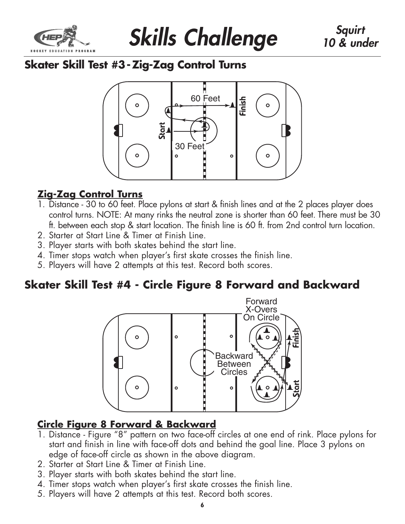



# **Skater Skill Test #3 -Zig-Zag Control Turns**



## **Zig-Zag Control Turns**

- 1. Distance 30 to 60 feet. Place pylons at start & finish lines and at the 2 places player does control turns. NOTE: At many rinks the neutral zone is shorter than 60 feet. There must be 30 ft. between each stop & start location. The finish line is 60 ft. from 2nd control turn location.
- 2. Starter at Start Line & Timer at Finish Line.
- 3. Player starts with both skates behind the start line.
- 4. Timer stops watch when player's first skate crosses the finish line.
- 5. Players will have 2 attempts at this test. Record both scores.

## **Skater Skill Test #4 - Circle Figure 8 Forward and Backward**



## **Circle Figure 8 Forward & Backward**

- 1. Distance Figure "8" pattern on two face-off circles at one end of rink. Place pylons for start and finish in line with face-off dots and behind the goal line. Place 3 pylons on edge of face-off circle as shown in the above diagram.
- 2. Starter at Start Line & Timer at Finish Line.
- 3. Player starts with both skates behind the start line.
- 4. Timer stops watch when player's first skate crosses the finish line.
-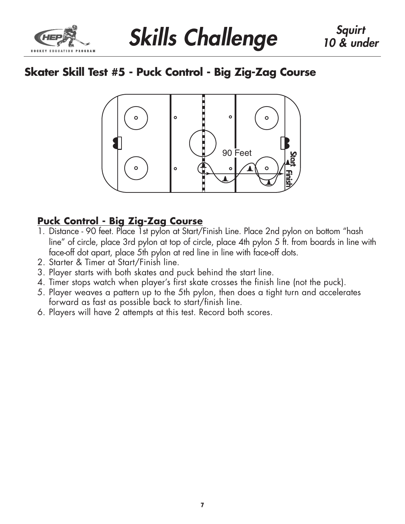

**Skills Challenge Skills Skills Squirt** 

# **Skater Skill Test #5 - Puck Control - Big Zig-Zag Course**



## **Puck Control - Big Zig-Zag Course**

- 1. Distance 90 feet. Place 1st pylon at Start/Finish Line. Place 2nd pylon on bottom "hash line" of circle, place 3rd pylon at top of circle, place 4th pylon 5 ft. from boards in line with face-off dot apart, place 5th pylon at red line in line with face-off dots.
- 2. Starter & Timer at Start/Finish line.
- 3. Player starts with both skates and puck behind the start line.
- 4. Timer stops watch when player's first skate crosses the finish line (not the puck).
- 5. Player weaves a pattern up to the 5th pylon, then does a tight turn and accelerates forward as fast as possible back to start/finish line.
- 6. Players will have 2 attempts at this test. Record both scores.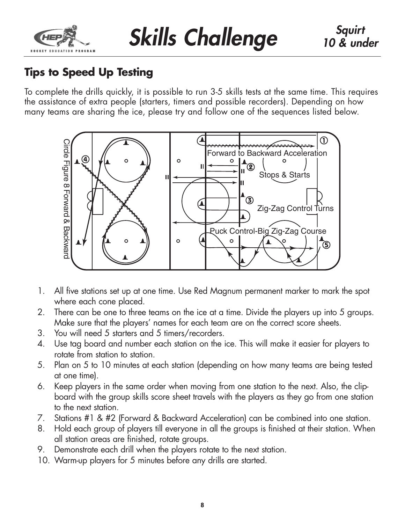

# **Tips to Speed Up Testing**

To complete the drills quickly, it is possible to run 3-5 skills tests at the same time. This requires the assistance of extra people (starters, timers and possible recorders). Depending on how many teams are sharing the ice, please try and follow one of the sequences listed below.



- 1. All five stations set up at one time. Use Red Magnum permanent marker to mark the spot where each cone placed.
- 2. There can be one to three teams on the ice at a time. Divide the players up into 5 groups. Make sure that the players' names for each team are on the correct score sheets.
- 3. You will need 5 starters and 5 timers/recorders.
- 4. Use tag board and number each station on the ice. This will make it easier for players to rotate from station to station.
- 5. Plan on 5 to 10 minutes at each station (depending on how many teams are being tested at one time).
- 6. Keep players in the same order when moving from one station to the next. Also, the clipboard with the group skills score sheet travels with the players as they go from one station to the next station.
- 7. Stations #1 & #2 (Forward & Backward Acceleration) can be combined into one station.
- 8. Hold each group of players till everyone in all the groups is finished at their station. When all station areas are finished, rotate groups.
- 9. Demonstrate each drill when the players rotate to the next station.
- 10. Warm-up players for 5 minutes before any drills are started.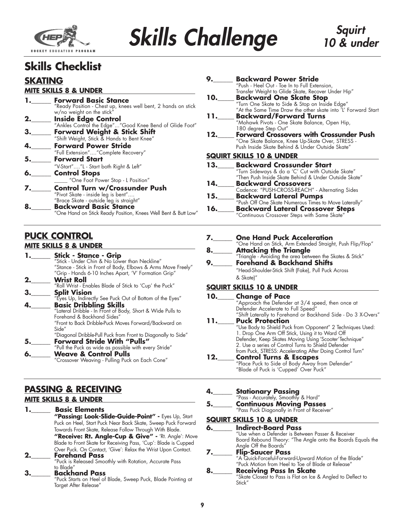

## **Skills Checklist**

### **SKATING**

#### **MITE SKILLS 8 & UNDER**

|    | <b>Forward Basic Stance</b>                                   |
|----|---------------------------------------------------------------|
|    | "Ready Position - Chest up, knees well bent, 2 hands on stick |
|    | w/no weight on the stick"                                     |
| 2. | <b>Inside Edge Control</b>                                    |
|    | "Ankles Control the Edge""Good Knee Bend of Glide Foot"       |
|    | Forward Weight & Stick Shift                                  |
|    | "Shift Weight, Stick & Hands to Bent Knee"                    |
|    | <b>Forward Power Stride</b>                                   |
|    | "Full Extension""Complete Recovery"                           |
|    | <b>Forward Start</b>                                          |
|    | "V-Start""L - Start both Right & Left"                        |
| 6. | <b>Control Stops</b>                                          |
|    | "One Foot Power Stop - L Position"                            |
| 7. | <b>Control Turn w/Crossunder Push</b>                         |
|    | "Pivot Skate - inside leg is bent"                            |
|    | "Brace Skate - outside leg is straight"                       |
|    | <b>Backward Basic Stance</b>                                  |

"One Hand on Stick Ready Position, Knees Well Bent & Butt Low"

#### **PUCK CONTROL MITE SKILLS 8 & UNDER**

#### **1.\_\_\_\_\_\_ Stick - Stance - Grip**<br>"Stick - Under Chin & No Lower than Neckline" "Stance - Stick in Front of Body, Elbows & Arms Move Freely" "Grip - Hands 6-10 Inches Apart, 'V' Formation Grip" **2.\_\_\_\_\_\_ Wrist Roll** "Roll Wrist - Enables Blade of Stick to 'Cup' the Puck" **3.\_\_\_\_\_\_\_ Split Vision**<br>
"Eyes Up, Indirectly See Puck Out of Bottom of the Eyes"<br> **4.\_\_\_\_\_\_\_\_ Basic Dribbling Skills 4.\_\_\_\_\_\_ Basic Dribbling Skills** "Lateral Dribble - In Front of Body, Short & Wide Pulls to Forehand & Backhand Sides" "Front to Back Dribble-Puck Moves Forward/Backward on Side" "Diagonal Dribble-Pull Puck from Front to Diagonally to Side" **5.\_\_\_\_\_\_\_ Forward Stride With "Pulls"**<br>Pull the Puck as wide as possible with every Stride"

**Weave & Control Pulls** "Crossover Weaving - Pulling Puck on Each Cone"

### **PASSING & RECEIVING**

#### **MITE SKILLS 8 & UNDER**

**Basic Elements "Passing: Look-Slide-Guide-Point" -** Eyes Up, Start Puck on Heel, Start Puck Near Back Skate, Sweep Puck Forward Towards Front Skate, Release Follow Through With Blade. **"Receive: Rt. Angle-Cup & Give" -** 'Rt. Angle': Move Blade to Front Skate for Receiving Pass, 'Cup': Blade is Cupped Over Puck. On Contact, 'Give': Relax the Wrist Upon Contact.

#### **2.\_\_\_\_\_\_ Forehand Pass**

"Puck is Released Smoothly with Rotation, Accurate Pass to Blade"

#### **3.\_\_\_\_\_\_ Backhand Pass**

"Puck Starts on Heel of Blade, Sweep Puck, Blade Pointing at Target After Release"

| 9.  | <b>Backward Power Stride</b>                                                                       |
|-----|----------------------------------------------------------------------------------------------------|
|     | "Push - Heel Out - Toe In to Full Extension,<br>Transfer Weight to Glide Skate, Recover Under Hip" |
| 10. | <b>Backward One Skate Stop</b>                                                                     |
|     | "Turn One Skate to Side & Stop on Inside Edge"                                                     |
|     | "At the Same Time Draw the other skate into 'L' Forward Start                                      |
| 11. | <b>Backward/Forward Turns</b>                                                                      |
|     | "Mohawk Pivots - One Skate Balance, Open Hip,                                                      |
|     | 180 degree Step Out"                                                                               |
| 12. | <b>Forward Crossovers with Crossunder Push</b>                                                     |
|     | "One Skate Balance, Knee Up-Skate Over, STRESS -                                                   |
|     | Push Inside Skate Behind & Under Outside Skate"                                                    |
|     | <b>SQUIRT SKILLS 10 &amp; UNDER</b>                                                                |
| 13. | <b>Backward Crossunder Start</b>                                                                   |
|     | "Turn Sideways & do a 'C' Cut with Outside Skate"                                                  |
|     | "Then Push Inside Skate Behind & Under Outside Skate"                                              |
| 14. | <b>Backward Crossovers</b>                                                                         |
|     | Cadence: "PUSH-CROSS-REACH" - Alternating Sides                                                    |
| 15. | _ Backward Lateral Pumps                                                                           |
|     | "Push Off One Skate Numerous Times to Move Laterally"                                              |

**7.\_\_\_\_\_\_ One Hand Puck Acceleration** One Hand on Stick, Arm Extended Straight, Push Flip/Flop" **8.\_\_\_\_\_\_\_ Attacking the Triangle**<br>"Triangle - Avoiding the area between the Skates & Stick" **9.\_\_\_\_\_\_ Forehand & Backhand Shifts**

**16.\_\_\_\_\_ Backward Lateral Crossover Steps** "Continuous Crossover Steps with Same Skate"

"Head-Shoulder-Stick Shift (Fake), Pull Puck Across & Skate)"

#### **SQUIRT SKILLS 10 & UNDER**

| "Approach the Defender at 3/4 speed, then once at<br>Defender Accelerate to Full Speed" |
|-----------------------------------------------------------------------------------------|
|                                                                                         |
| "Shift Laterally to Forehand or Backhand Side - Do 3 X-Overs"                           |
| "Use Body to Shield Puck from Opponent" 2 Techniques Used:                              |
|                                                                                         |
| Defender, Keep Skates Moving Using 'Scooter'Technique"                                  |
|                                                                                         |
| from Puck, STRESS: Accelerating After Doing Control Turn"                               |
|                                                                                         |
| "Place Puck to Side of Body Away from Defender"                                         |
|                                                                                         |

- **Stationary Passing**<br>"Pass Accurately, Smoothly & Hard"<br>**Continuous Moving Passes**
- **5.\_\_\_\_\_\_ Continuous Moving Passes** "Pass Puck Diagonally in Front of Receiver"

#### **SQUIRT SKILLS 10 & UNDER**

| <b>Indirect-Board Pass</b>                                                                     |
|------------------------------------------------------------------------------------------------|
| "Use when a Defender is Between Passer & Receiver                                              |
| Board Rebound Theory: "The Angle onto the Boards Equals the                                    |
| Angle Off the Boards"                                                                          |
| Flip-Saucer Pass<br>"A Quick-Forceful-Forward-Upward Motion of the Blade"                      |
|                                                                                                |
| "Puck Motion from Heel to Toe of Blade at Release"                                             |
| <b>Receiving Pass In Skate</b><br>"Skate Closest to Pass is Flat on Ice & Angled to Deflect to |
|                                                                                                |
| $\mathsf{Stich}''$                                                                             |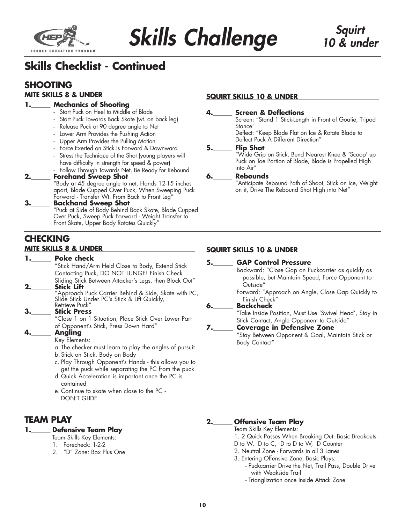

**Skills Challenge Skills Squirt** 

# **Skills Checklist - Continued**

## **SHOOTING**

#### **MITE SKILLS 8 & UNDER**

#### **Mechanics of Shooting**

- Start Puck on Heel to Middle of Blade
- Start Puck Towards Back Skate (wt. on back leg)
- Release Puck at 90 degree angle to Net
- Lower Arm Provides the Pushing Action
- Upper Arm Provides the Pulling Motion
- Force Exerted on Stick is Forward & Downward
- Stress the Technique of the Shot (young players will have difficulty in strength for speed & power)
- Follow Through Towards Net, Be Ready for Rebound

#### **2.\_\_\_\_\_\_ Forehand Sweep Shot**

"Body at 45 degree angle to net, Hands 12-15 inches apart, Blade Cupped Over Puck, When Sweeping Puck Forward - Transfer Wt. From Back to Front Leg"

#### **3.\_\_\_\_\_\_ Backhand Sweep Shot**

"Puck at Side of Body Behind Back Skate, Blade Cupped Over Puck, Sweep Puck Forward - Weight Transfer to Front Skate, Upper Body Rotates Quickly"

#### **CHECKING MITE SKILLS 8 & UNDER**

#### **1.\_\_\_\_\_\_ Poke check**

"Stick Hand/Arm Held Close to Body, Extend Stick Contacting Puck, DO NOT LUNGE! Finish Check Sliding Stick Between Attacker's Legs, then Block Out"

#### **2.\_\_\_\_\_\_ Stick Lift**

"Approach Puck Carrier Behind & Side, Skate with PC, Slide Stick Under PC's Stick & Lift Quickly,

#### Retrieve Puck" **3.\_\_\_\_\_\_ Stick Press**

"Close 1 on 1 Situation, Place Stick Over Lower Part of Opponent's Stick, Press Down Hard"

#### **4.\_\_\_\_\_\_ Angling**

Key Elements:

a. The checker must learn to play the angles of pursuit

- b. Stick on Stick, Body on Body
- c. Play Through Opponent's Hands this allows you to get the puck while separating the PC from the puck
- d. Quick Acceleration is important once the PC is contained
- e. Continue to skate when close to the PC DON'T GLIDE

### **TEAM PLAY**

#### **1.\_\_\_\_\_\_ Defensive Team Play**

- Team Skills Key Elements:
- 1. Forecheck: 1-2-2
- 2. "D" Zone: Box Plus One

#### **SQUIRT SKILLS 10 & UNDER**

#### **4.\_\_\_\_\_\_ Screen & Deflections**

Screen: "Stand 1 Stick-Length in Front of Goalie, Tripod Stance"

Deflect: "Keep Blade Flat on Ice & Rotate Blade to Deflect Puck A Different Direction"

#### **5.\_\_\_\_\_\_ Flip Shot**

"Wide Grip on Stick, Bend Nearest Knee & 'Scoop' up Puck on Toe Portion of Blade, Blade is Propelled High into Air"

#### **6.\_\_\_\_\_\_ Rebounds**

"Anticipate Rebound Path of Shoot, Stick on Ice, Weight on it, Drive The Rebound Shot High into Net"

#### **SQUIRT SKILLS 10 & UNDER**

#### **5.\_\_\_\_\_\_ GAP Control Pressure**

Backward: "Close Gap on Puckcarrier as quickly as possible, but Maintain Speed, Force Opponent to Outside"

Forward: "Approach on Angle, Close Gap Quickly to Finish Check"

#### **6.\_\_\_\_\_\_ Backcheck**

"Take Inside Position, Must Use 'Swivel Head', Stay in Stick Contact, Angle Opponent to Outside"

#### **7.\_\_\_\_\_\_ Coverage in Defensive Zone**

"Stay Between Opponent & Goal, Maintain Stick or Body Contact"

#### **2.\_\_\_\_\_\_ Offensive Team Play**

Team Skills Key Elements:

- 1. 2 Quick Passes When Breaking Out: Basic Breakouts -
- D to W, D to C, D to D to W, D Counter
- 2. Neutral Zone Forwards in all 3 Lanes
- 3. Entering Offensive Zone, Basic Plays:
	- Puckcarrier Drive the Net, Trail Pass, Double Drive with Weakside Trail
	- Trianglization once Inside Attack Zone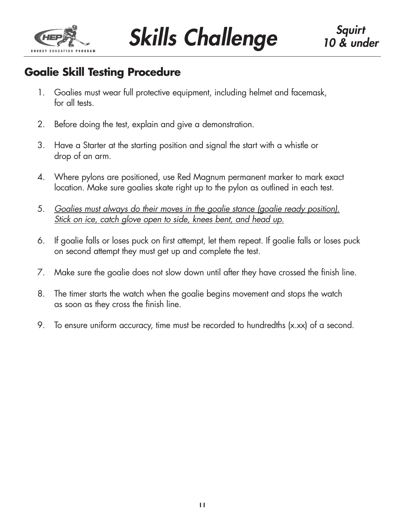

# **Goalie Skill Testing Procedure**

- 1. Goalies must wear full protective equipment, including helmet and facemask, for all tests.
- 2. Before doing the test, explain and give a demonstration.
- 3. Have a Starter at the starting position and signal the start with a whistle or drop of an arm.
- 4. Where pylons are positioned, use Red Magnum permanent marker to mark exact location. Make sure goalies skate right up to the pylon as outlined in each test.
- 5. *Goalies must always do their moves in the goalie stance (goalie ready position). Stick on ice, catch glove open to side, knees bent, and head up.*
- 6. If goalie falls or loses puck on first attempt, let them repeat. If goalie falls or loses puck on second attempt they must get up and complete the test.
- 7. Make sure the goalie does not slow down until after they have crossed the finish line.
- 8. The timer starts the watch when the goalie begins movement and stops the watch as soon as they cross the finish line.
- 9. To ensure uniform accuracy, time must be recorded to hundredths (x.xx) of a second.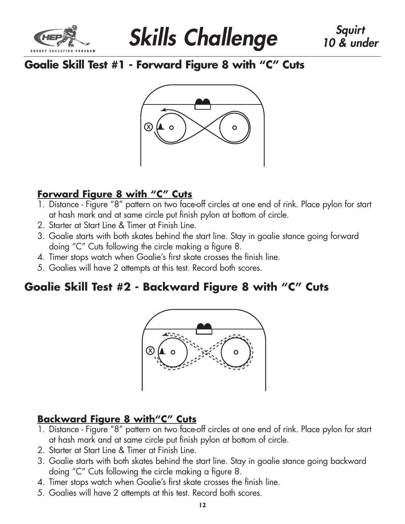



## **Goalie Skill Test #1 - Forward Figure 8 with "C" Cuts**



## **Forward Figure 8 with "C" Cuts**

- 1. Distance Figure "8" pattern on two face-off circles at one end of rink. Place pylon for start at hash mark and at same circle put finish pylon at bottom of circle.
- 2. Starter at Start Line & Timer at Finish Line.
- 3. Goalie starts with both skates behind the start line. Stay in goalie stance going forward doing "C" Cuts following the circle making a figure 8.
- 4. Timer stops watch when Goalie's first skate crosses the finish line.
- 5. Goalies will have 2 attempts at this test. Record both scores.

# **Goalie Skill Test #2 - Backward Figure 8 with "C" Cuts**



# **Backward Figure 8 with"C" Cuts**

- 1. Distance Figure "8" pattern on two face-off circles at one end of rink. Place pylon for start at hash mark and at same circle put finish pylon at bottom of circle.
- 2. Starter at Start Line & Timer at Finish Line.
- 3. Goalie starts with both skates behind the start line. Stay in goalie stance going backward doing "C" Cuts following the circle making a figure 8.
- 4. Timer stops watch when Goalie's first skate crosses the finish line.
- 5. Goalies will have 2 attempts at this test. Record both scores.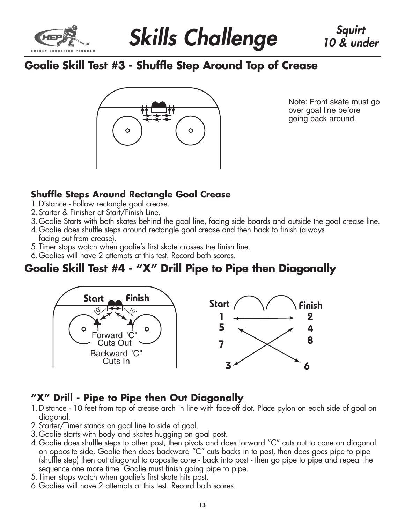

# **Goalie Skill Test #3 - Shuffle Step Around Top of Crease**



Note: Front skate must go over goal line before going back around.

## **Shuffle Steps Around Rectangle Goal Crease**

- 1.Distance Follow rectangle goal crease.
- 2.Starter & Finisher at Start/Finish Line.
- 3.Goalie Starts with both skates behind the goal line, facing side boards and outside the goal crease line.
- 4.Goalie does shuffle steps around rectangle goal crease and then back to finish (always facing out from crease).
- 5.Timer stops watch when goalie's first skate crosses the finish line.
- 6.Goalies will have 2 attempts at this test. Record both scores.

## **Goalie Skill Test #4 - "X" Drill Pipe to Pipe then Diagonally**



## **"X" Drill - Pipe to Pipe then Out Diagonally**

- 1.Distance 10 feet from top of crease arch in line with face-off dot. Place pylon on each side of goal on diagonal.
- 2.Starter/Timer stands on goal line to side of goal.
- 3.Goalie starts with body and skates hugging on goal post.
- 4.Goalie does shuffle steps to other post, then pivots and does forward "C" cuts out to cone on diagonal on opposite side. Goalie then does backward "C" cuts backs in to post, then does goes pipe to pipe (shuffle step) then out diagonal to opposite cone - back into post - then go pipe to pipe and repeat the sequence one more time. Goalie must finish going pipe to pipe.
- 5.Timer stops watch when goalie's first skate hits post.
- 6.Goalies will have 2 attempts at this test. Record both scores.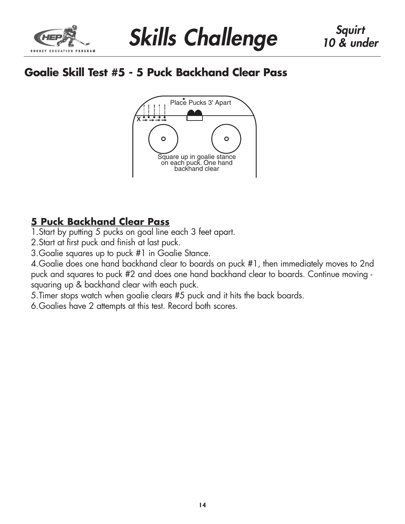

# **Goalie Skill Test #5 - 5 Puck Backhand Clear Pass**



## **5 Puck Backhand Clear Pass**

1.Start by putting 5 pucks on goal line each 3 feet apart.

2.Start at first puck and finish at last puck.

3.Goalie squares up to puck #1 in Goalie Stance.

4.Goalie does one hand backhand clear to boards on puck #1, then immediately moves to 2nd puck and squares to puck #2 and does one hand backhand clear to boards. Continue moving squaring up & backhand clear with each puck.

5.Timer stops watch when goalie clears #5 puck and it hits the back boards.

6.Goalies have 2 attempts at this test. Record both scores.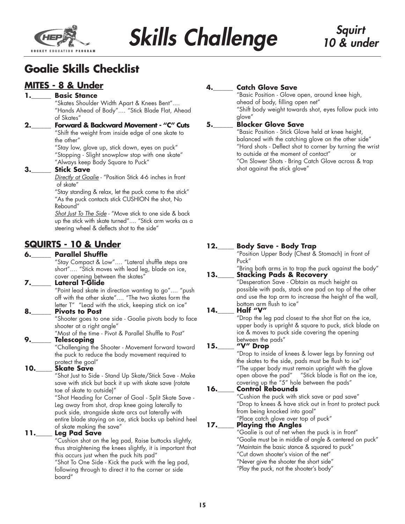

# **Skills Challenge Skills Squirt**

# **Goalie Skills Checklist**

### **MITES - 8 & Under**

#### **1.\_\_\_\_\_\_ Basic Stance**

"Skates Shoulder Width Apart & Knees Bent".... "Hands Ahead of Body".... "Stick Blade Flat, Ahead of Skates"

**2.\_\_\_\_\_\_ Forward & Backward Movement - "C" Cuts** "Shift the weight from inside edge of one skate to

> the other" "Stay low, glove up, stick down, eyes on puck" "Stopping - Slight snowplow stop with one skate"

"Always keep Body Square to Puck"

#### **3.\_\_\_\_\_\_ Stick Save**

*Directly at Goalie* - "Position Stick 4-6 inches in front of skate"

"Stay standing & relax, let the puck come to the stick" "As the puck contacts stick CUSHION the shot, No Rebound"

*Shot Just To The Side* - "Move stick to one side & back up the stick with skate turned".... "Stick arm works as a steering wheel & deflects shot to the side"

### **SQUIRTS - 10 & Under**

#### **6.\_\_\_\_\_\_ Parallel Shuffle**

"Stay Compact & Low".... "Lateral shuffle steps are short".... "Stick moves with lead leg, blade on ice, cover opening between the skates"

#### **7.\_\_\_\_\_\_ Lateral T-Glide**

"Point lead skate in direction wanting to go".... "push off with the other skate".... "The two skates form the letter T" "Lead with the stick, keeping stick on ice"

#### **8.\_\_\_\_\_\_ Pivots to Post**

"Shooter goes to one side - Goalie pivots body to face shooter at a right angle"

"Most of the time - Pivot & Parallel Shuffle to Post"

#### **9.\_\_\_\_\_\_ Telescoping**

"Challenging the Shooter - Movement forward toward the puck to reduce the body movement required to protect the goal"

#### **10.\_\_\_\_\_ Skate Save**

"Shot Just to Side - Stand Up Skate/Stick Save - Make save with stick but back it up with skate save (rotate toe of skate to outside)"

"Shot Heading for Corner of Goal - Split Skate Save - Leg away from shot, drop knee going laterally to puck side, strongside skate arcs out laterally with entire blade staying on ice, stick backs up behind heel of skate making the save"

#### **11.\_\_\_\_\_ Leg Pad Save**

"Cushion shot on the leg pad, Raise buttocks slightly, thus straightening the knees slightly, it is important that this occurs just when the puck hits pad"

"Shot To One Side - Kick the puck with the leg pad, following through to direct it to the corner or side board"

#### **Catch Glove Save**

"Basic Position - Glove open, around knee high, ahead of body, filling open net" "Shift body weight towards shot, eyes follow puck into glove"

#### **5.\_\_\_\_\_\_ Blocker Glove Save**

"Basic Position - Stick Glove held at knee height, balanced with the catching glove on the other side" "Hard shots - Deflect shot to corner by turning the wrist to outside at the moment of contact" or "On Slower Shots - Bring Catch Glove across & trap shot against the stick glove"

#### **12.\_\_\_\_\_ Body Save - Body Trap** "Position Upper Body (Chest & Stomach) in front of Puck" "Bring both arms in to trap the puck against the body" **13.\_\_\_\_\_ Stacking Pads & Recovery** "Desperation Save - Obtain as much height as possible with pads, stack one pad on top of the other and use the top arm to increase the height of the wall, bottom arm flush to ice" **14.\_\_\_\_\_ Half "V"** "Drop the leg pad closest to the shot flat on the ice, upper body is upright & square to puck, stick blade on ice & moves to puck side covering the opening between the pads" **15.\_\_\_\_\_ "V" Drop** "Drop to inside of knees & lower legs by fanning out the skates to the side, pads must be flush to ice" "The upper body must remain upright with the glove open above the pad" "Stick blade is flat on the ice, covering up the "5" hole between the pads" **16.\_\_\_\_\_ Control Rebounds** "Cushion the puck with stick save or pad save" "Drop to knees & have stick out in front to protect puck from being knocked into goal" "Place catch glove over top of puck" **17.\_\_\_\_\_ Playing the Angles** "Goalie is out of net when the puck is in front" "Goalie must be in middle of angle & centered on puck" "Maintain the basic stance & squared to puck" "Cut down shooter's vision of the net"

"Never give the shooter the short side"

"Play the puck, not the shooter's body"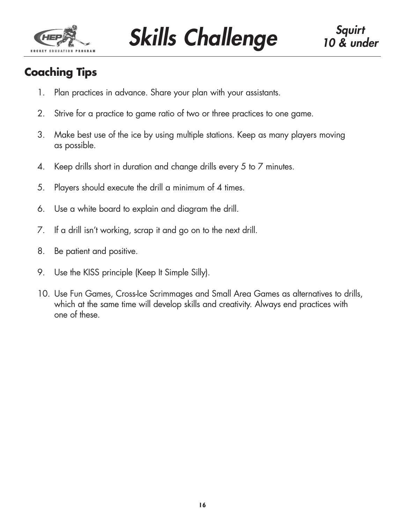

**Skills Challenge Skills Skills Squirt** 

# **Coaching Tips**

- 1. Plan practices in advance. Share your plan with your assistants.
- 2. Strive for a practice to game ratio of two or three practices to one game.
- 3. Make best use of the ice by using multiple stations. Keep as many players moving as possible.
- 4. Keep drills short in duration and change drills every 5 to 7 minutes.
- 5. Players should execute the drill a minimum of 4 times.
- 6. Use a white board to explain and diagram the drill.
- 7. If a drill isn't working, scrap it and go on to the next drill.
- 8. Be patient and positive.
- 9. Use the KISS principle (Keep It Simple Silly).
- 10. Use Fun Games, Cross-Ice Scrimmages and Small Area Games as alternatives to drills, which at the same time will develop skills and creativity. Always end practices with one of these.